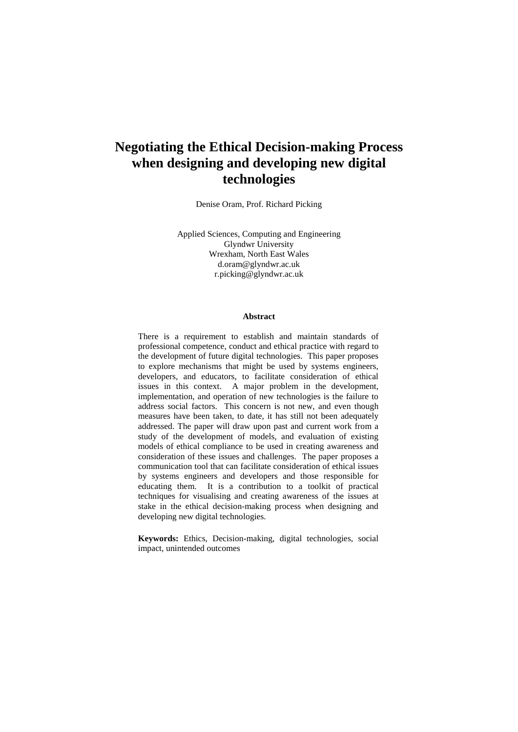# **Negotiating the Ethical Decision-making Process when designing and developing new digital technologies**

Denise Oram, Prof. Richard Picking

Applied Sciences, Computing and Engineering Glyndwr University Wrexham, North East Wales d.oram@glyndwr.ac.uk r.picking@glyndwr.ac.uk

#### **Abstract**

There is a requirement to establish and maintain standards of professional competence, conduct and ethical practice with regard to the development of future digital technologies. This paper proposes to explore mechanisms that might be used by systems engineers, developers, and educators, to facilitate consideration of ethical issues in this context. A major problem in the development, implementation, and operation of new technologies is the failure to address social factors. This concern is not new, and even though measures have been taken, to date, it has still not been adequately addressed. The paper will draw upon past and current work from a study of the development of models, and evaluation of existing models of ethical compliance to be used in creating awareness and consideration of these issues and challenges. The paper proposes a communication tool that can facilitate consideration of ethical issues by systems engineers and developers and those responsible for educating them. It is a contribution to a toolkit of practical techniques for visualising and creating awareness of the issues at stake in the ethical decision-making process when designing and developing new digital technologies.

**Keywords:** Ethics, Decision-making, digital technologies, social impact, unintended outcomes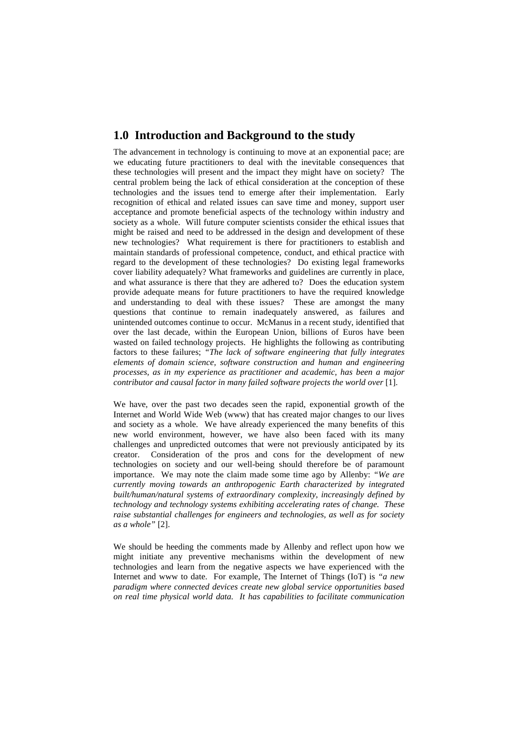### **1.0 Introduction and Background to the study**

The advancement in technology is continuing to move at an exponential pace; are we educating future practitioners to deal with the inevitable consequences that these technologies will present and the impact they might have on society? The central problem being the lack of ethical consideration at the conception of these technologies and the issues tend to emerge after their implementation. Early recognition of ethical and related issues can save time and money, support user acceptance and promote beneficial aspects of the technology within industry and society as a whole. Will future computer scientists consider the ethical issues that might be raised and need to be addressed in the design and development of these new technologies? What requirement is there for practitioners to establish and maintain standards of professional competence, conduct, and ethical practice with regard to the development of these technologies? Do existing legal frameworks cover liability adequately? What frameworks and guidelines are currently in place, and what assurance is there that they are adhered to? Does the education system provide adequate means for future practitioners to have the required knowledge and understanding to deal with these issues? These are amongst the many questions that continue to remain inadequately answered, as failures and unintended outcomes continue to occur. McManus in a recent study, identified that over the last decade, within the European Union, billions of Euros have been wasted on failed technology projects. He highlights the following as contributing factors to these failures; *"The lack of software engineering that fully integrates elements of domain science, software construction and human and engineering processes, as in my experience as practitioner and academic, has been a major contributor and causal factor in many failed software projects the world over* [1].

We have, over the past two decades seen the rapid, exponential growth of the Internet and World Wide Web (www) that has created major changes to our lives and society as a whole. We have already experienced the many benefits of this new world environment, however, we have also been faced with its many challenges and unpredicted outcomes that were not previously anticipated by its creator. Consideration of the pros and cons for the development of new technologies on society and our well-being should therefore be of paramount importance. We may note the claim made some time ago by Allenby: *"We are currently moving towards an anthropogenic Earth characterized by integrated built/human/natural systems of extraordinary complexity, increasingly defined by technology and technology systems exhibiting accelerating rates of change. These raise substantial challenges for engineers and technologies, as well as for society as a whole"* [2].

We should be heeding the comments made by Allenby and reflect upon how we might initiate any preventive mechanisms within the development of new technologies and learn from the negative aspects we have experienced with the Internet and www to date. For example, The Internet of Things (IoT) is *"a new paradigm where connected devices create new global service opportunities based on real time physical world data. It has capabilities to facilitate communication*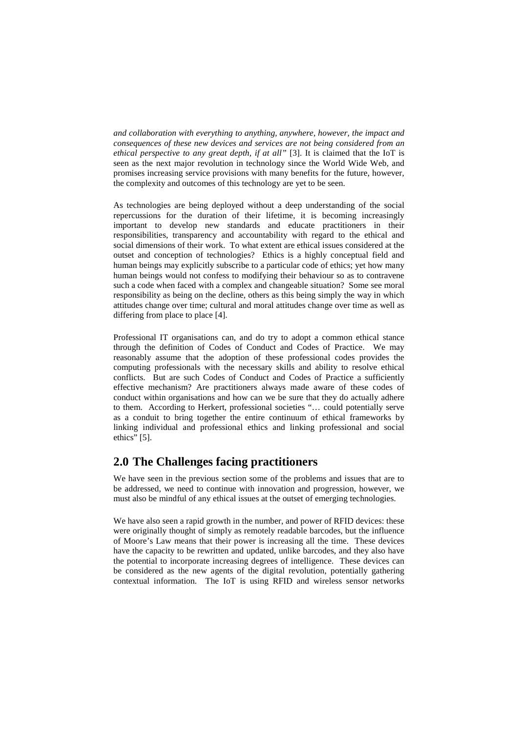*and collaboration with everything to anything, anywhere, however, the impact and consequences of these new devices and services are not being considered from an ethical perspective to any great depth, if at all"* [3]. It is claimed that the IoT is seen as the next major revolution in technology since the World Wide Web, and promises increasing service provisions with many benefits for the future, however, the complexity and outcomes of this technology are yet to be seen.

As technologies are being deployed without a deep understanding of the social repercussions for the duration of their lifetime, it is becoming increasingly important to develop new standards and educate practitioners in their responsibilities, transparency and accountability with regard to the ethical and social dimensions of their work. To what extent are ethical issues considered at the outset and conception of technologies? Ethics is a highly conceptual field and human beings may explicitly subscribe to a particular code of ethics; yet how many human beings would not confess to modifying their behaviour so as to contravene such a code when faced with a complex and changeable situation? Some see moral responsibility as being on the decline, others as this being simply the way in which attitudes change over time; cultural and moral attitudes change over time as well as differing from place to place [4].

Professional IT organisations can, and do try to adopt a common ethical stance through the definition of Codes of Conduct and Codes of Practice. We may reasonably assume that the adoption of these professional codes provides the computing professionals with the necessary skills and ability to resolve ethical conflicts. But are such Codes of Conduct and Codes of Practice a sufficiently effective mechanism? Are practitioners always made aware of these codes of conduct within organisations and how can we be sure that they do actually adhere to them. According to Herkert, professional societies "… could potentially serve as a conduit to bring together the entire continuum of ethical frameworks by linking individual and professional ethics and linking professional and social ethics" [5].

### **2.0 The Challenges facing practitioners**

We have seen in the previous section some of the problems and issues that are to be addressed, we need to continue with innovation and progression, however, we must also be mindful of any ethical issues at the outset of emerging technologies.

We have also seen a rapid growth in the number, and power of RFID devices: these were originally thought of simply as remotely readable barcodes, but the influence of Moore's Law means that their power is increasing all the time. These devices have the capacity to be rewritten and updated, unlike barcodes, and they also have the potential to incorporate increasing degrees of intelligence. These devices can be considered as the new agents of the digital revolution, potentially gathering contextual information. The IoT is using RFID and wireless sensor networks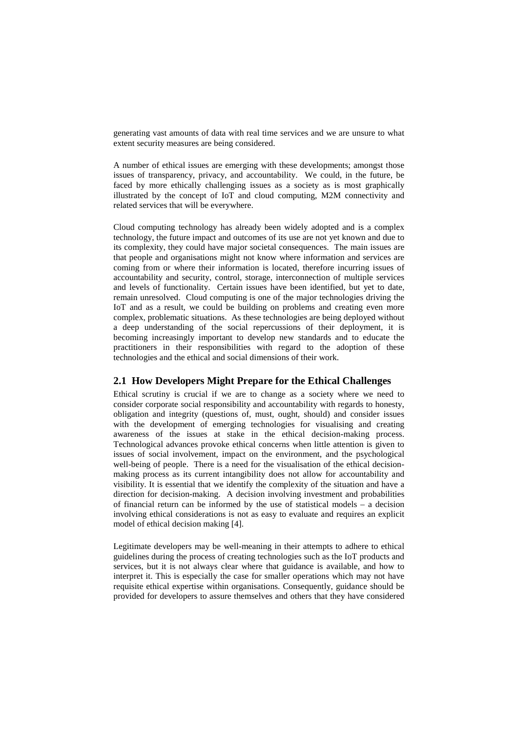generating vast amounts of data with real time services and we are unsure to what extent security measures are being considered.

A number of ethical issues are emerging with these developments; amongst those issues of transparency, privacy, and accountability. We could, in the future, be faced by more ethically challenging issues as a society as is most graphically illustrated by the concept of IoT and cloud computing, M2M connectivity and related services that will be everywhere.

Cloud computing technology has already been widely adopted and is a complex technology, the future impact and outcomes of its use are not yet known and due to its complexity, they could have major societal consequences. The main issues are that people and organisations might not know where information and services are coming from or where their information is located, therefore incurring issues of accountability and security, control, storage, interconnection of multiple services and levels of functionality. Certain issues have been identified, but yet to date, remain unresolved. Cloud computing is one of the major technologies driving the IoT and as a result, we could be building on problems and creating even more complex, problematic situations. As these technologies are being deployed without a deep understanding of the social repercussions of their deployment, it is becoming increasingly important to develop new standards and to educate the practitioners in their responsibilities with regard to the adoption of these technologies and the ethical and social dimensions of their work.

### **2.1 How Developers Might Prepare for the Ethical Challenges**

Ethical scrutiny is crucial if we are to change as a society where we need to consider corporate social responsibility and accountability with regards to honesty, obligation and integrity (questions of, must, ought, should) and consider issues with the development of emerging technologies for visualising and creating awareness of the issues at stake in the ethical decision-making process. Technological advances provoke ethical concerns when little attention is given to issues of social involvement, impact on the environment, and the psychological well-being of people. There is a need for the visualisation of the ethical decisionmaking process as its current intangibility does not allow for accountability and visibility. It is essential that we identify the complexity of the situation and have a direction for decision-making. A decision involving investment and probabilities of financial return can be informed by the use of statistical models – a decision involving ethical considerations is not as easy to evaluate and requires an explicit model of ethical decision making [4].

Legitimate developers may be well-meaning in their attempts to adhere to ethical guidelines during the process of creating technologies such as the IoT products and services, but it is not always clear where that guidance is available, and how to interpret it. This is especially the case for smaller operations which may not have requisite ethical expertise within organisations. Consequently, guidance should be provided for developers to assure themselves and others that they have considered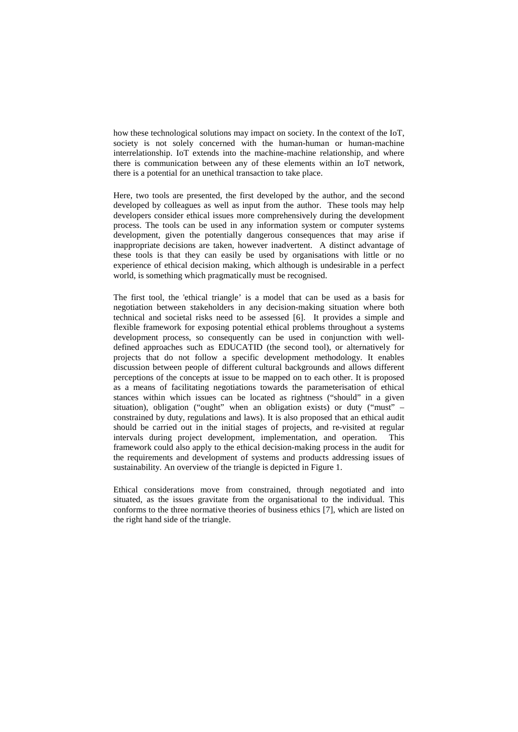how these technological solutions may impact on society. In the context of the IoT, society is not solely concerned with the human-human or human-machine interrelationship. IoT extends into the machine-machine relationship, and where there is communication between any of these elements within an IoT network, there is a potential for an unethical transaction to take place.

Here, two tools are presented, the first developed by the author, and the second developed by colleagues as well as input from the author. These tools may help developers consider ethical issues more comprehensively during the development process. The tools can be used in any information system or computer systems development, given the potentially dangerous consequences that may arise if inappropriate decisions are taken, however inadvertent. A distinct advantage of these tools is that they can easily be used by organisations with little or no experience of ethical decision making, which although is undesirable in a perfect world, is something which pragmatically must be recognised.

The first tool, the 'ethical triangle' is a model that can be used as a basis for negotiation between stakeholders in any decision-making situation where both technical and societal risks need to be assessed [6]. It provides a simple and flexible framework for exposing potential ethical problems throughout a systems development process, so consequently can be used in conjunction with welldefined approaches such as EDUCATID (the second tool), or alternatively for projects that do not follow a specific development methodology. It enables discussion between people of different cultural backgrounds and allows different perceptions of the concepts at issue to be mapped on to each other. It is proposed as a means of facilitating negotiations towards the parameterisation of ethical stances within which issues can be located as rightness ("should" in a given situation), obligation ("ought" when an obligation exists) or duty ("must" – constrained by duty, regulations and laws). It is also proposed that an ethical audit should be carried out in the initial stages of projects, and re-visited at regular intervals during project development, implementation, and operation. This framework could also apply to the ethical decision-making process in the audit for the requirements and development of systems and products addressing issues of sustainability. An overview of the triangle is depicted in Figure 1.

Ethical considerations move from constrained, through negotiated and into situated, as the issues gravitate from the organisational to the individual. This conforms to the three normative theories of business ethics [7], which are listed on the right hand side of the triangle.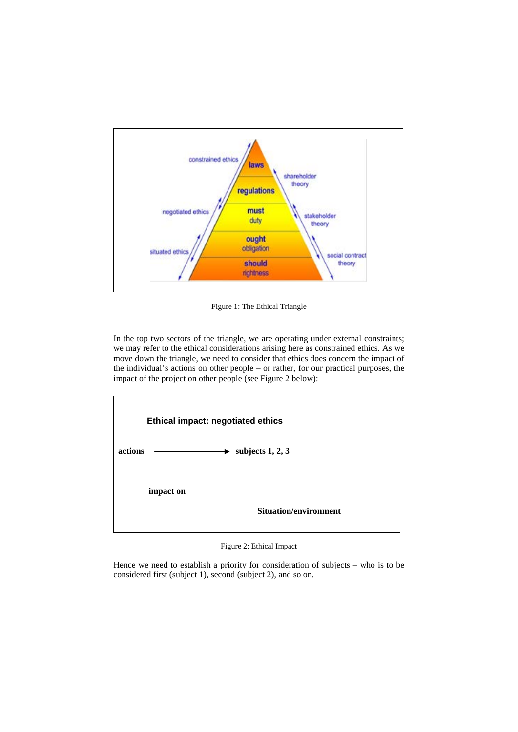

Figure 1: The Ethical Triangle

In the top two sectors of the triangle, we are operating under external constraints; we may refer to the ethical considerations arising here as constrained ethics. As we move down the triangle, we need to consider that ethics does concern the impact of the individual's actions on other people – or rather, for our practical purposes, the impact of the project on other people (see Figure 2 below):



Figure 2: Ethical Impact

Hence we need to establish a priority for consideration of subjects – who is to be considered first (subject 1), second (subject 2), and so on.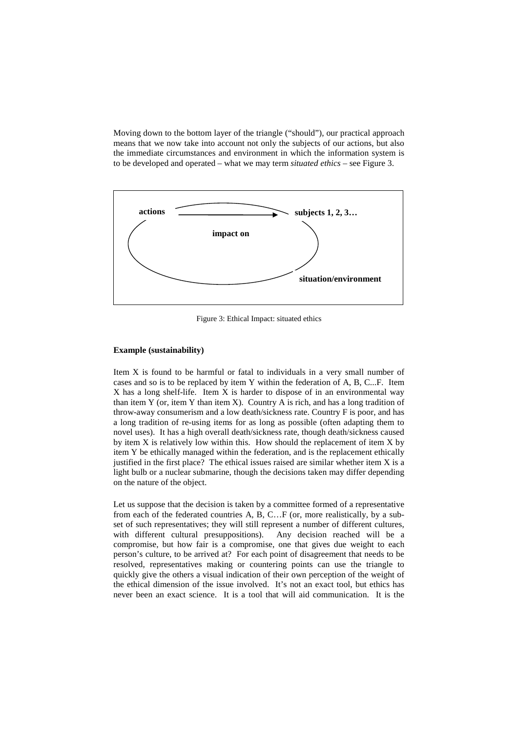Moving down to the bottom layer of the triangle ("should"), our practical approach means that we now take into account not only the subjects of our actions, but also the immediate circumstances and environment in which the information system is to be developed and operated – what we may term *situated ethics* – see Figure 3.



Figure 3: Ethical Impact: situated ethics

### **Example (sustainability)**

Item X is found to be harmful or fatal to individuals in a very small number of cases and so is to be replaced by item Y within the federation of A, B, C...F. Item X has a long shelf-life. Item X is harder to dispose of in an environmental way than item Y (or, item Y than item X). Country A is rich, and has a long tradition of throw-away consumerism and a low death/sickness rate. Country F is poor, and has a long tradition of re-using items for as long as possible (often adapting them to novel uses). It has a high overall death/sickness rate, though death/sickness caused by item  $X$  is relatively low within this. How should the replacement of item  $X$  by item Y be ethically managed within the federation, and is the replacement ethically justified in the first place? The ethical issues raised are similar whether item X is a light bulb or a nuclear submarine, though the decisions taken may differ depending on the nature of the object.

Let us suppose that the decision is taken by a committee formed of a representative from each of the federated countries A, B, C…F (or, more realistically, by a subset of such representatives; they will still represent a number of different cultures, with different cultural presuppositions). Any decision reached will be a compromise, but how fair is a compromise, one that gives due weight to each person's culture, to be arrived at? For each point of disagreement that needs to be resolved, representatives making or countering points can use the triangle to quickly give the others a visual indication of their own perception of the weight of the ethical dimension of the issue involved. It's not an exact tool, but ethics has never been an exact science. It is a tool that will aid communication. It is the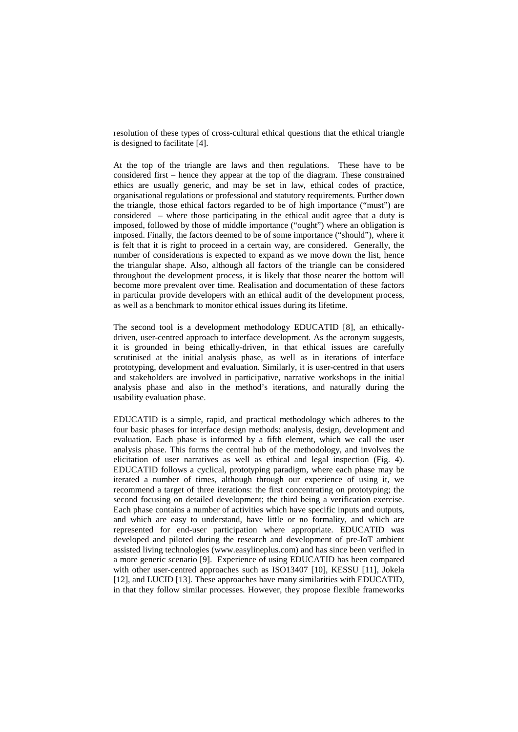resolution of these types of cross-cultural ethical questions that the ethical triangle is designed to facilitate [4].

At the top of the triangle are laws and then regulations. These have to be considered first – hence they appear at the top of the diagram. These constrained ethics are usually generic, and may be set in law, ethical codes of practice, organisational regulations or professional and statutory requirements. Further down the triangle, those ethical factors regarded to be of high importance ("must") are considered – where those participating in the ethical audit agree that a duty is imposed, followed by those of middle importance ("ought") where an obligation is imposed. Finally, the factors deemed to be of some importance ("should"), where it is felt that it is right to proceed in a certain way, are considered. Generally, the number of considerations is expected to expand as we move down the list, hence the triangular shape. Also, although all factors of the triangle can be considered throughout the development process, it is likely that those nearer the bottom will become more prevalent over time. Realisation and documentation of these factors in particular provide developers with an ethical audit of the development process, as well as a benchmark to monitor ethical issues during its lifetime.

The second tool is a development methodology EDUCATID [8], an ethicallydriven, user-centred approach to interface development. As the acronym suggests, it is grounded in being ethically-driven, in that ethical issues are carefully scrutinised at the initial analysis phase, as well as in iterations of interface prototyping, development and evaluation. Similarly, it is user-centred in that users and stakeholders are involved in participative, narrative workshops in the initial analysis phase and also in the method's iterations, and naturally during the usability evaluation phase.

EDUCATID is a simple, rapid, and practical methodology which adheres to the four basic phases for interface design methods: analysis, design, development and evaluation. Each phase is informed by a fifth element, which we call the user analysis phase. This forms the central hub of the methodology, and involves the elicitation of user narratives as well as ethical and legal inspection (Fig. 4). EDUCATID follows a cyclical, prototyping paradigm, where each phase may be iterated a number of times, although through our experience of using it, we recommend a target of three iterations: the first concentrating on prototyping; the second focusing on detailed development; the third being a verification exercise. Each phase contains a number of activities which have specific inputs and outputs, and which are easy to understand, have little or no formality, and which are represented for end-user participation where appropriate. EDUCATID was developed and piloted during the research and development of pre-IoT ambient assisted living technologies (www.easylineplus.com) and has since been verified in a more generic scenario [9]. Experience of using EDUCATID has been compared with other user-centred approaches such as ISO13407 [10], KESSU [11], Jokela [12], and LUCID [13]. These approaches have many similarities with EDUCATID, in that they follow similar processes. However, they propose flexible frameworks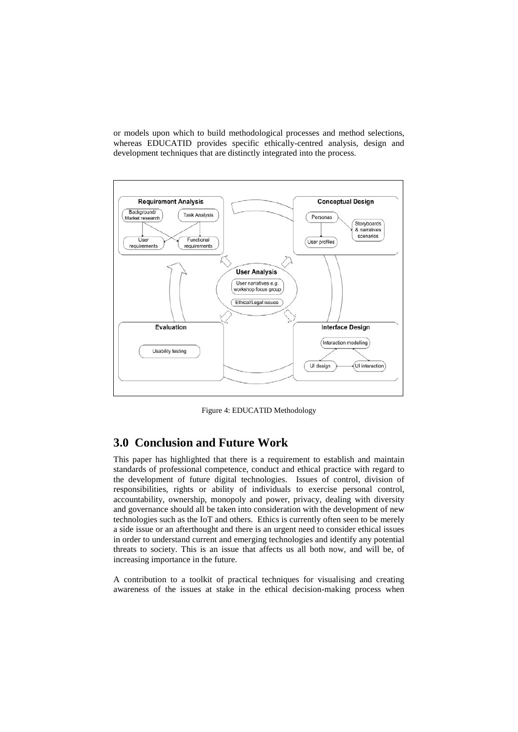or models upon which to build methodological processes and method selections, whereas EDUCATID provides specific ethically-centred analysis, design and development techniques that are distinctly integrated into the process.



Figure 4: EDUCATID Methodology

# **3.0 Conclusion and Future Work**

This paper has highlighted that there is a requirement to establish and maintain standards of professional competence, conduct and ethical practice with regard to the development of future digital technologies.Issues of control, division of responsibilities, rights or ability of individuals to exercise personal control, accountability, ownership, monopoly and power, privacy, dealing with diversity and governance should all be taken into consideration with the development of new technologies such as the IoT and others. Ethics is currently often seen to be merely a side issue or an afterthought and there is an urgent need to consider ethical issues in order to understand current and emerging technologies and identify any potential threats to society. This is an issue that affects us all both now, and will be, of increasing importance in the future.

A contribution to a toolkit of practical techniques for visualising and creating awareness of the issues at stake in the ethical decision-making process when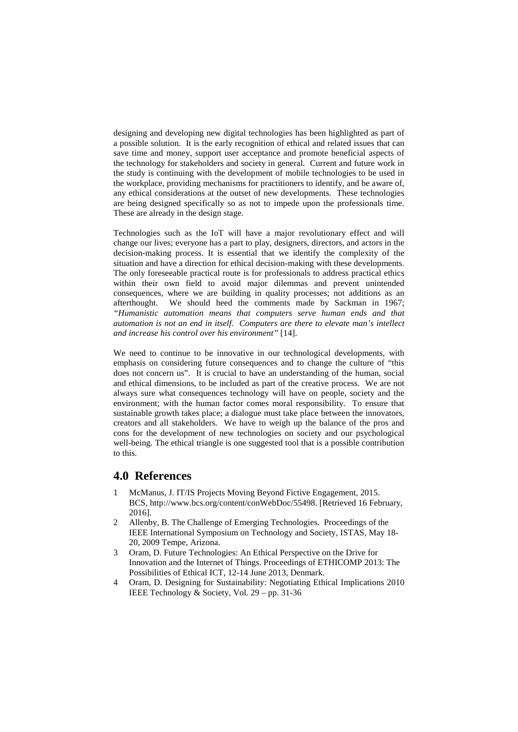designing and developing new digital technologies has been highlighted as part of a possible solution. It is the early recognition of ethical and related issues that can save time and money, support user acceptance and promote beneficial aspects of the technology for stakeholders and society in general. Current and future work in the study is continuing with the development of mobile technologies to be used in the workplace, providing mechanisms for practitioners to identify, and be aware of, any ethical considerations at the outset of new developments. These technologies are being designed specifically so as not to impede upon the professionals time. These are already in the design stage.

Technologies such as the IoT will have a major revolutionary effect and will change our lives; everyone has a part to play, designers, directors, and actors in the decision-making process. It is essential that we identify the complexity of the situation and have a direction for ethical decision-making with these developments. The only foreseeable practical route is for professionals to address practical ethics within their own field to avoid major dilemmas and prevent unintended consequences, where we are building in quality processes; not additions as an afterthought. We should heed the comments made by Sackman in 1967; *"Humanistic automation means that computers serve human ends and that automation is not an end in itself. Computers are there to elevate man's intellect and increase his control over his environment"* [14].

We need to continue to be innovative in our technological developments, with emphasis on considering future consequences and to change the culture of "this does not concern us". It is crucial to have an understanding of the human, social and ethical dimensions, to be included as part of the creative process. We are not always sure what consequences technology will have on people, society and the environment; with the human factor comes moral responsibility. To ensure that sustainable growth takes place; a dialogue must take place between the innovators, creators and all stakeholders. We have to weigh up the balance of the pros and cons for the development of new technologies on society and our psychological well-being. The ethical triangle is one suggested tool that is a possible contribution to this.

## **4.0 References**

- 1 McManus, J. IT/IS Projects Moving Beyond Fictive Engagement, 2015. BCS, http://www.bcs.org/content/conWebDoc/55498. [Retrieved 16 February, 2016].
- 2 Allenby, B. The Challenge of Emerging Technologies. Proceedings of the IEEE International Symposium on Technology and Society, ISTAS, May 18- 20, 2009 Tempe, Arizona.
- 3 Oram, D. Future Technologies: An Ethical Perspective on the Drive for Innovation and the Internet of Things. Proceedings of ETHICOMP 2013: The Possibilities of Ethical ICT, 12-14 June 2013, Denmark.
- 4 Oram, D. Designing for Sustainability: Negotiating Ethical Implications 2010 IEEE Technology & Society, Vol. 29 – pp. 31-36